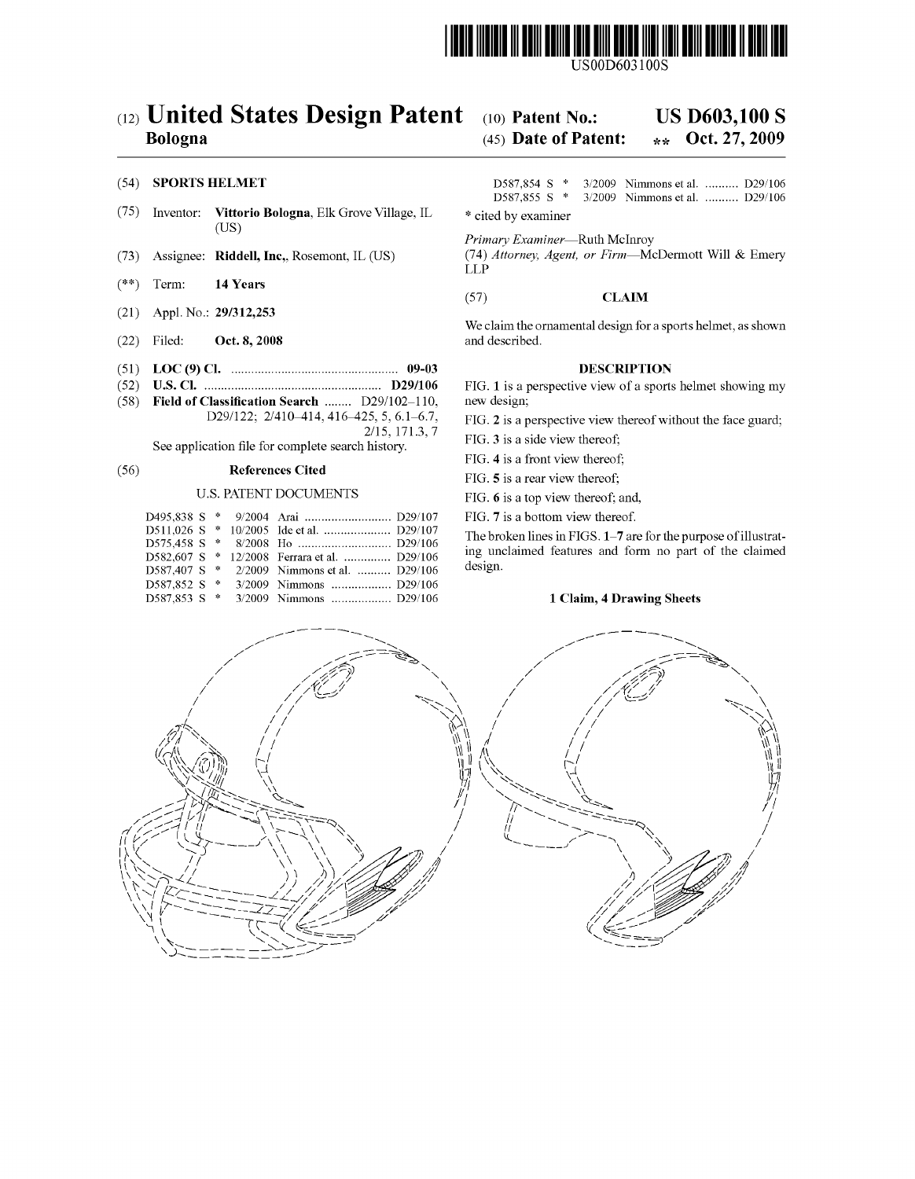

USO0D603100S

## (12) United States Design Patent (10) Patent No.: US D603,100 S

- (75) Inventor: Vittorio Bologna, Elk Grove Village, IL  $*$  cited by examiner US
- 
- $(**)$  Term: 14 Years
- (21) Appl. No.: 29/312,253
- (22) Filed: Oct. 8, 2008 and described.
- (51) LOC (9) Cl. ................................................ .. 09-03 DESCRIPTION
	-
- Field of Classification Search ........ D29/102-110,<br>D29/122; 2/410-414, 416-425, 5, 6.1-6.7,

See application file for complete search history.

### (56) References Cited

### U.S. PATENT DOCUMENTS

|  |  |                                              | The brol |
|--|--|----------------------------------------------|----------|
|  |  |                                              |          |
|  |  | D582.607 S * 12/2008 Ferrara et al.  D29/106 | ing unc  |
|  |  | D587,407 S * 2/2009 Nimmons et al.  D29/106  | design.  |
|  |  |                                              |          |
|  |  |                                              |          |

### Bologna (45) Date of Patent:  $\star\star$  Oct. 27, 2009

(54) **SPORTS HELMET** D587,854 S \* 3/2009 Nimmons et al. .......... D29/106<br>D587,855 S \* 3/2009 Nimmons et al. .......... D29/106 3/2009 Nimmons et al. .......... D29/106

Primary Examiner-Ruth McInroy

(73) Assignee: Riddell, Inc., Rosemont, IL (US) (74) Attorney, Agent, or Firm-McDermott Will & Emery LLP

### (57) CLAIM

We claim the ornamental design for a sports helmet, as shown

(52) US. Cl. .................................... .. D29/106 FIG. 1 is a perspective vieW of a sports helmet showing my

1329/122; 2/ 4107414' 416425' 5: 61\*67' FIG. 2 is a perspective vieW thereof Without the face guard; 2/15, 171.3,7 . . . \_

FIG. 4 is a front view thereof;

FIG. 5 is a rear view thereof;

FIG. 6 is a top vieW thereof; and,

FIG. 7 is a bottom view thereof.

The broken lines in FIGS. 1–7 are for the purpose of illustrating unclaimed features and form no part of the claimed design.

### 1 Claim, 4 Drawing Sheets

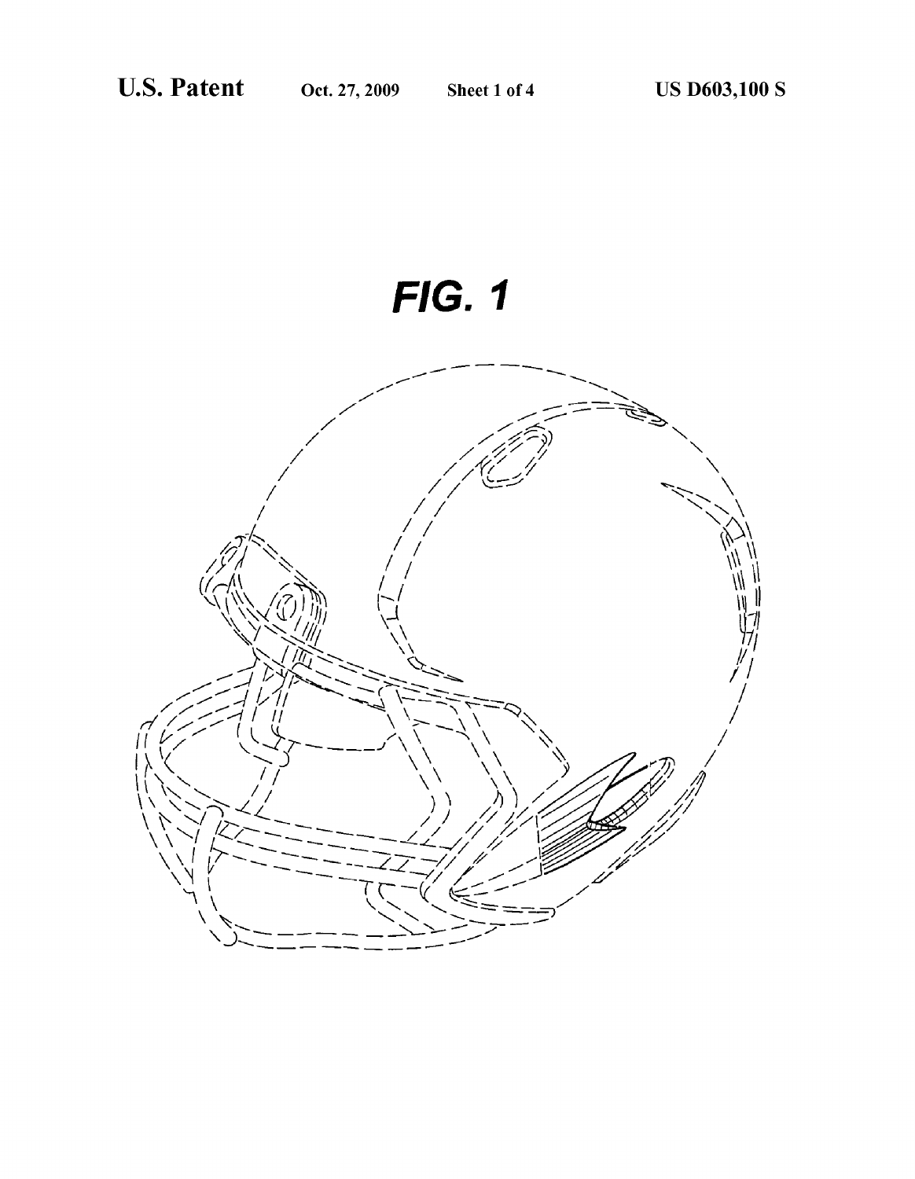# **FIG. 1**

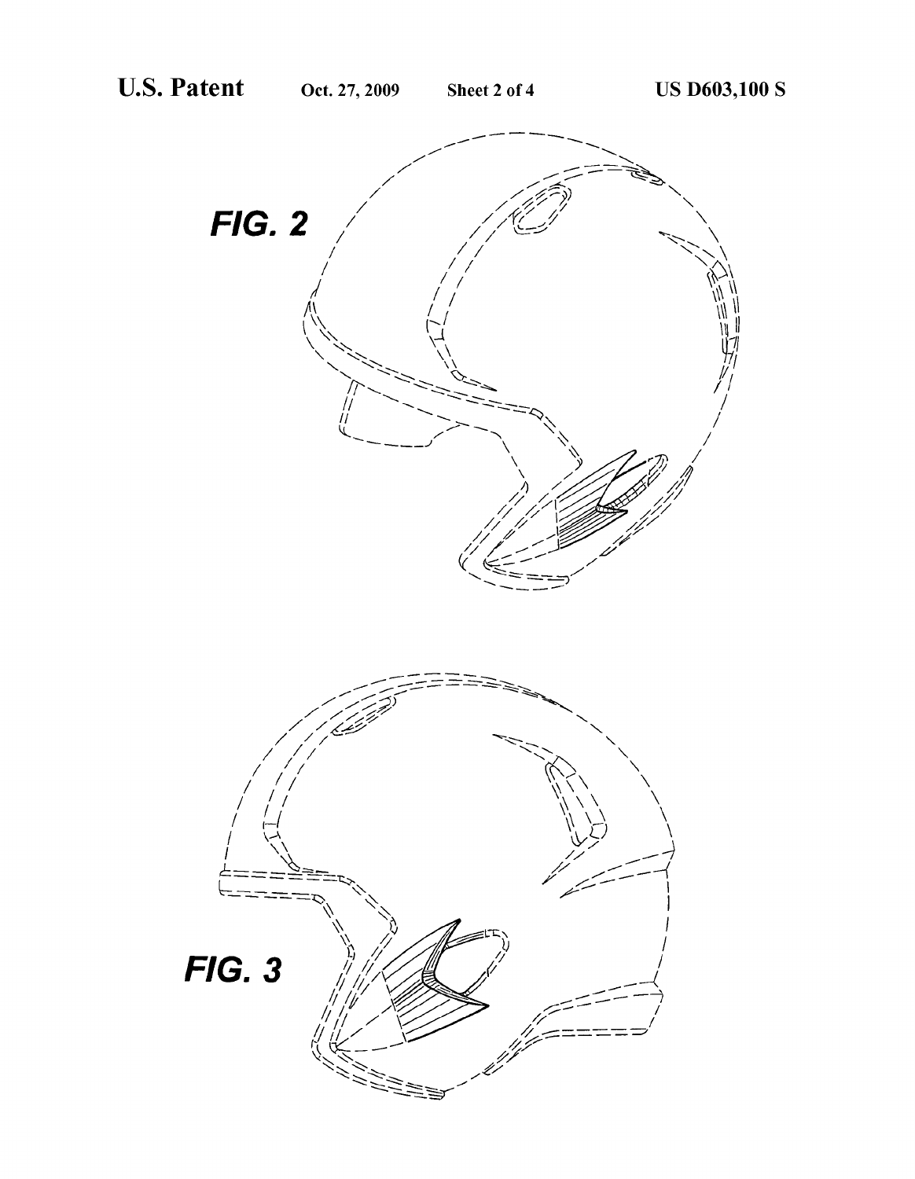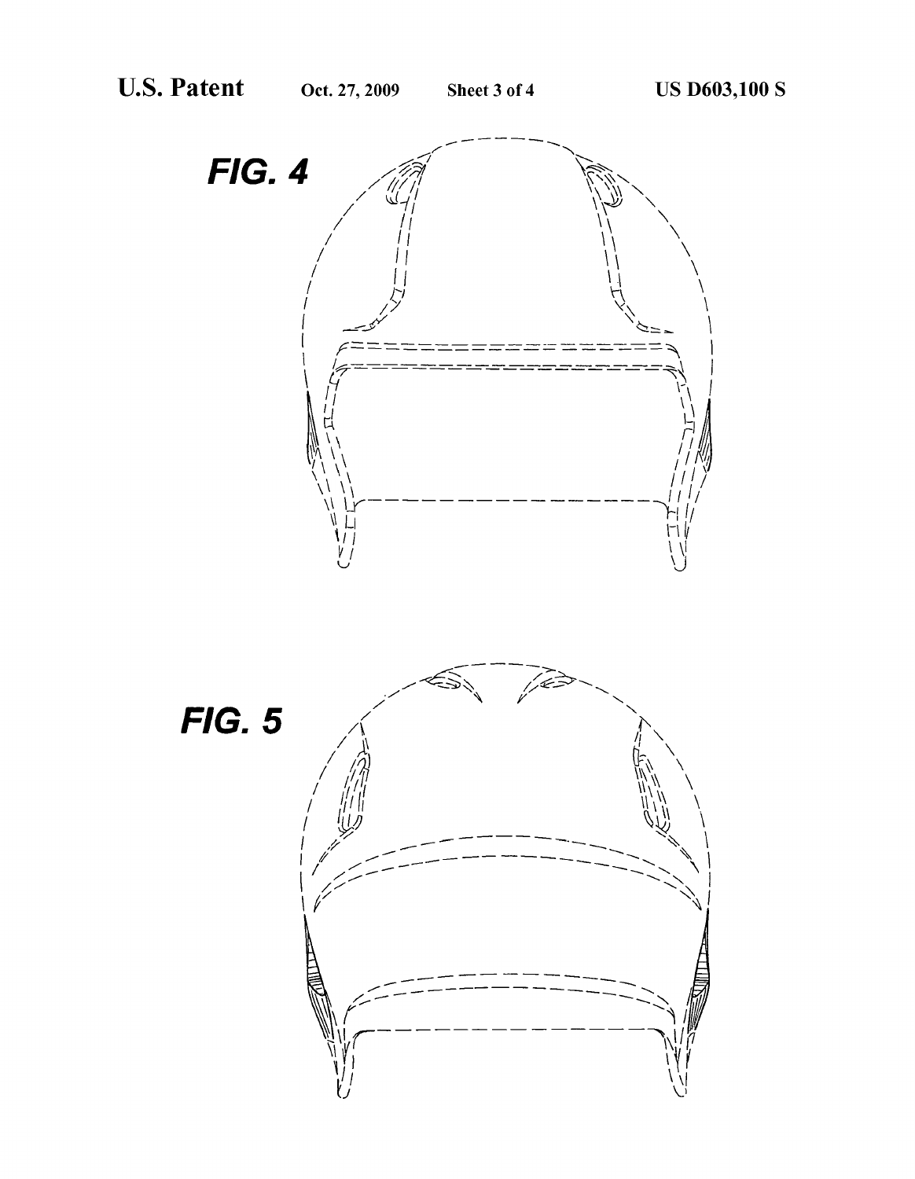